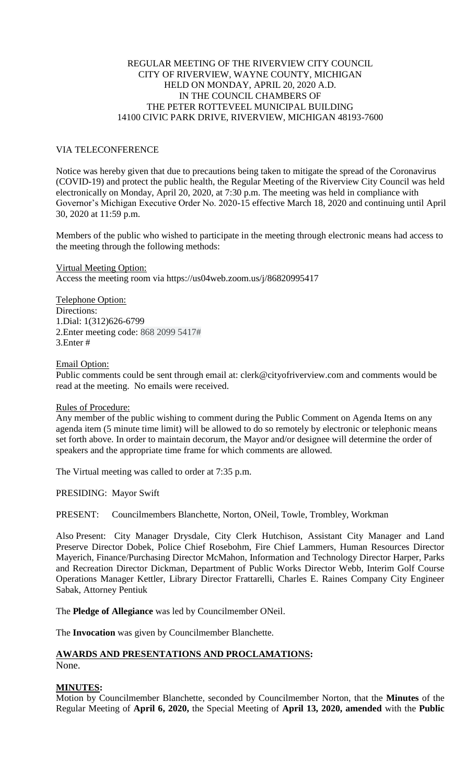## REGULAR MEETING OF THE RIVERVIEW CITY COUNCIL CITY OF RIVERVIEW, WAYNE COUNTY, MICHIGAN HELD ON MONDAY, APRIL 20, 2020 A.D. IN THE COUNCIL CHAMBERS OF THE PETER ROTTEVEEL MUNICIPAL BUILDING 14100 CIVIC PARK DRIVE, RIVERVIEW, MICHIGAN 48193-7600

## VIA TELECONFERENCE

Notice was hereby given that due to precautions being taken to mitigate the spread of the Coronavirus (COVID-19) and protect the public health, the Regular Meeting of the Riverview City Council was held electronically on Monday, April 20, 2020, at 7:30 p.m. The meeting was held in compliance with Governor's Michigan Executive Order No. 2020-15 effective March 18, 2020 and continuing until April 30, 2020 at 11:59 p.m.

Members of the public who wished to participate in the meeting through electronic means had access to the meeting through the following methods:

Virtual Meeting Option: Access the meeting room via https://us04web.zoom.us/j/86820995417

Telephone Option: Directions: 1.Dial: 1(312)626-6799 2.Enter meeting code: 868 2099 5417# 3.Enter #

Email Option:

Public comments could be sent through email at: [clerk@cityofriverview.com](mailto:clerk@cityofriverview.com) and comments would be read at the meeting. No emails were received.

## Rules of Procedure:

Any member of the public wishing to comment during the Public Comment on Agenda Items on any agenda item (5 minute time limit) will be allowed to do so remotely by electronic or telephonic means set forth above. In order to maintain decorum, the Mayor and/or designee will determine the order of speakers and the appropriate time frame for which comments are allowed.

The Virtual meeting was called to order at 7:35 p.m.

PRESIDING: Mayor Swift

PRESENT: Councilmembers Blanchette, Norton, ONeil, Towle, Trombley, Workman

Also Present: City Manager Drysdale, City Clerk Hutchison, Assistant City Manager and Land Preserve Director Dobek, Police Chief Rosebohm, Fire Chief Lammers, Human Resources Director Mayerich, Finance/Purchasing Director McMahon, Information and Technology Director Harper, Parks and Recreation Director Dickman, Department of Public Works Director Webb, Interim Golf Course Operations Manager Kettler, Library Director Frattarelli, Charles E. Raines Company City Engineer Sabak, Attorney Pentiuk

The **Pledge of Allegiance** was led by Councilmember ONeil.

The **Invocation** was given by Councilmember Blanchette.

## **AWARDS AND PRESENTATIONS AND PROCLAMATIONS:** None.

## **MINUTES:**

Motion by Councilmember Blanchette, seconded by Councilmember Norton, that the **Minutes** of the Regular Meeting of **April 6, 2020,** the Special Meeting of **April 13, 2020, amended** with the **Public**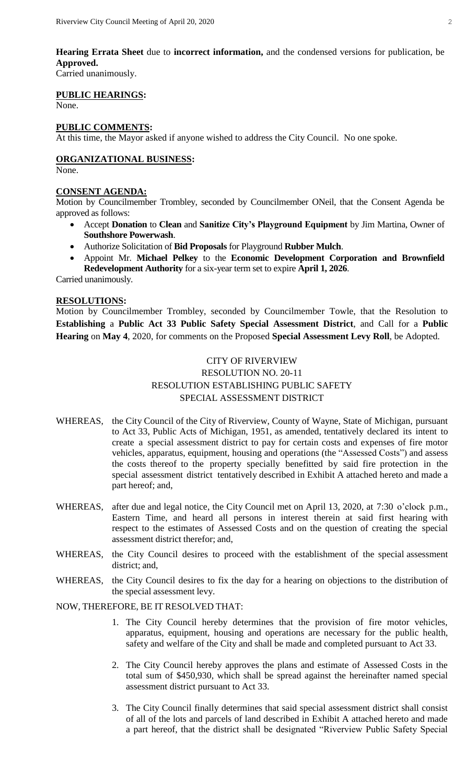**Hearing Errata Sheet** due to **incorrect information,** and the condensed versions for publication, be **Approved.**

Carried unanimously.

## **PUBLIC HEARINGS:**

None.

## **PUBLIC COMMENTS:**

At this time, the Mayor asked if anyone wished to address the City Council. No one spoke.

# **ORGANIZATIONAL BUSINESS:**

None.

## **CONSENT AGENDA:**

Motion by Councilmember Trombley, seconded by Councilmember ONeil, that the Consent Agenda be approved as follows:

- Accept **Donation** to **Clean** and **Sanitize City's Playground Equipment** by Jim Martina, Owner of **Southshore Powerwash**.
- Authorize Solicitation of **Bid Proposals** for Playground **Rubber Mulch**.
- Appoint Mr. **Michael Pelkey** to the **Economic Development Corporation and Brownfield Redevelopment Authority** for a six-year term set to expire **April 1, 2026**.

Carried unanimously.

## **RESOLUTIONS:**

Motion by Councilmember Trombley, seconded by Councilmember Towle, that the Resolution to **Establishing** a **Public Act 33 Public Safety Special Assessment District**, and Call for a **Public Hearing** on **May 4**, 2020, for comments on the Proposed **Special Assessment Levy Roll**, be Adopted.

## CITY OF RIVERVIEW RESOLUTION NO. 20-11 RESOLUTION ESTABLISHING PUBLIC SAFETY SPECIAL ASSESSMENT DISTRICT

- WHEREAS, the City Council of the City of Riverview, County of Wayne, State of Michigan, pursuant to Act 33, Public Acts of Michigan, 1951, as amended, tentatively declared its intent to create a special assessment district to pay for certain costs and expenses of fire motor vehicles, apparatus, equipment, housing and operations (the "Assessed Costs") and assess the costs thereof to the property specially benefitted by said fire protection in the special assessment district tentatively described in Exhibit A attached hereto and made a part hereof; and,
- WHEREAS, after due and legal notice, the City Council met on April 13, 2020, at 7:30 o'clock p.m., Eastern Time, and heard all persons in interest therein at said first hearing with respect to the estimates of Assessed Costs and on the question of creating the special assessment district therefor; and,
- WHEREAS, the City Council desires to proceed with the establishment of the special assessment district; and,
- WHEREAS, the City Council desires to fix the day for a hearing on objections to the distribution of the special assessment levy.

## NOW, THEREFORE, BE IT RESOLVED THAT:

- 1. The City Council hereby determines that the provision of fire motor vehicles, apparatus, equipment, housing and operations are necessary for the public health, safety and welfare of the City and shall be made and completed pursuant to Act 33.
- 2. The City Council hereby approves the plans and estimate of Assessed Costs in the total sum of \$450,930, which shall be spread against the hereinafter named special assessment district pursuant to Act 33.
- 3. The City Council finally determines that said special assessment district shall consist of all of the lots and parcels of land described in Exhibit A attached hereto and made a part hereof, that the district shall be designated "Riverview Public Safety Special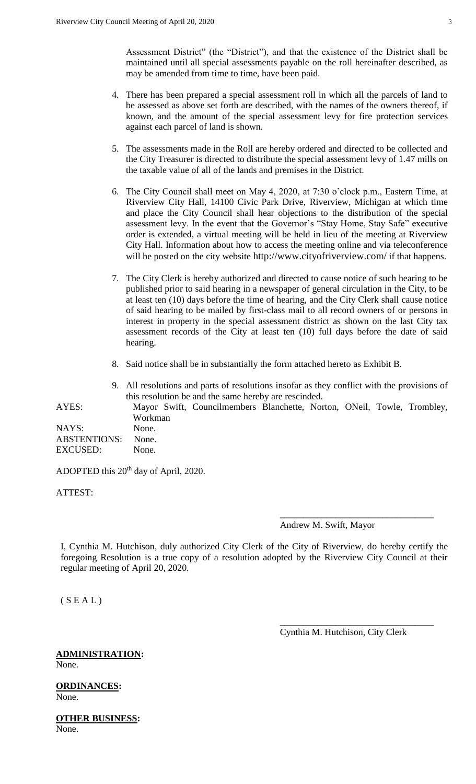Assessment District" (the "District"), and that the existence of the District shall be maintained until all special assessments payable on the roll hereinafter described, as may be amended from time to time, have been paid.

- 4. There has been prepared a special assessment roll in which all the parcels of land to be assessed as above set forth are described, with the names of the owners thereof, if known, and the amount of the special assessment levy for fire protection services against each parcel of land is shown.
- 5. The assessments made in the Roll are hereby ordered and directed to be collected and the City Treasurer is directed to distribute the special assessment levy of 1.47 mills on the taxable value of all of the lands and premises in the District.
- 6. The City Council shall meet on May 4, 2020, at 7:30 o'clock p.m., Eastern Time, at Riverview City Hall, 14100 Civic Park Drive, Riverview, Michigan at which time and place the City Council shall hear objections to the distribution of the special assessment levy. In the event that the Governor's "Stay Home, Stay Safe" executive order is extended, a virtual meeting will be held in lieu of the meeting at Riverview City Hall. Information about how to access the meeting online and via teleconference will be posted on the city website <http://www.cityofriverview.com/> if that happens.
- 7. The City Clerk is hereby authorized and directed to cause notice of such hearing to be published prior to said hearing in a newspaper of general circulation in the City, to be at least ten (10) days before the time of hearing, and the City Clerk shall cause notice of said hearing to be mailed by first-class mail to all record owners of or persons in interest in property in the special assessment district as shown on the last City tax assessment records of the City at least ten (10) full days before the date of said hearing.
- 8. Said notice shall be in substantially the form attached hereto as Exhibit B.
- 9. All resolutions and parts of resolutions insofar as they conflict with the provisions of this resolution be and the same hereby are rescinded. AYES: Mayor Swift, Councilmembers Blanchette, Norton, ONeil, Towle, Trombley, Workman NAYS: None.

ABSTENTIONS: None. EXCUSED: None.

ADOPTED this 20<sup>th</sup> day of April, 2020.

ATTEST:

Andrew M. Swift, Mayor

\_\_\_\_\_\_\_\_\_\_\_\_\_\_\_\_\_\_\_\_\_\_\_\_\_\_\_\_\_\_\_\_\_

I, Cynthia M. Hutchison, duly authorized City Clerk of the City of Riverview, do hereby certify the foregoing Resolution is a true copy of a resolution adopted by the Riverview City Council at their regular meeting of April 20, 2020.

 $(S E A L)$ 

Cynthia M. Hutchison, City Clerk

\_\_\_\_\_\_\_\_\_\_\_\_\_\_\_\_\_\_\_\_\_\_\_\_\_\_\_\_\_\_\_\_\_

## **ADMINISTRATION:** None.

**ORDINANCES:** None.

**OTHER BUSINESS:** None.